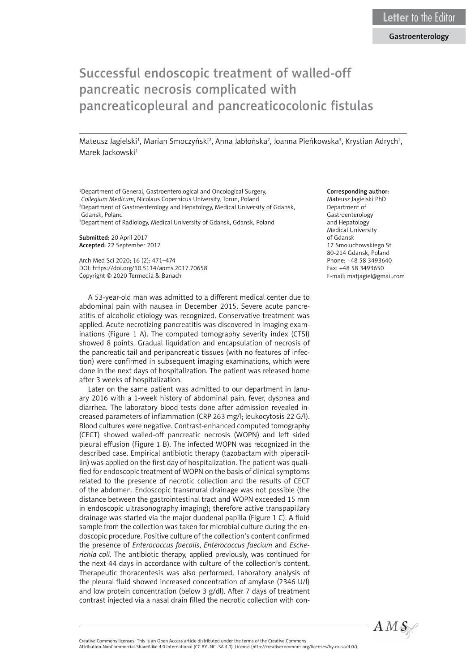## Gastroenterology

# Successful endoscopic treatment of walled-off pancreatic necrosis complicated with pancreaticopleural and pancreaticocolonic fistulas

Mateusz Jagielski<sup>1</sup>, Marian Smoczyński<sup>2</sup>, Anna Jabłońska<sup>2</sup>, Joanna Pieńkowska<sup>3</sup>, Krystian Adrych<sup>2</sup>, Marek Jackowski<sup>1</sup>

1 Department of General, Gastroenterological and Oncological Surgery, *Collegium Medicum*, Nicolaus Copernicus University, Torun, Poland 2 Department of Gastroenterology and Hepatology, Medical University of Gdansk, Gdansk, Poland

3 Department of Radiology, Medical University of Gdansk, Gdansk, Poland

Submitted: 20 April 2017 Accepted: 22 September 2017

Arch Med Sci 2020; 16 (2): 471–474 DOI: https://doi.org/10.5114/aoms.2017.70658 Copyright © 2020 Termedia & Banach

A 53-year-old man was admitted to a different medical center due to abdominal pain with nausea in December 2015. Severe acute pancreatitis of alcoholic etiology was recognized. Conservative treatment was applied. Acute necrotizing pancreatitis was discovered in imaging examinations (Figure 1 A). The computed tomography severity index (CTSI) showed 8 points. Gradual liquidation and encapsulation of necrosis of the pancreatic tail and peripancreatic tissues (with no features of infection) were confirmed in subsequent imaging examinations, which were done in the next days of hospitalization. The patient was released home after 3 weeks of hospitalization.

Later on the same patient was admitted to our department in January 2016 with a 1-week history of abdominal pain, fever, dyspnea and diarrhea. The laboratory blood tests done after admission revealed increased parameters of inflammation (CRP 263 mg/l; leukocytosis 22 G/l). Blood cultures were negative. Contrast-enhanced computed tomography (CECT) showed walled-off pancreatic necrosis (WOPN) and left sided pleural effusion (Figure 1 B). The infected WOPN was recognized in the described case. Empirical antibiotic therapy (tazobactam with piperacillin) was applied on the first day of hospitalization. The patient was qualified for endoscopic treatment of WOPN on the basis of clinical symptoms related to the presence of necrotic collection and the results of CECT of the abdomen. Endoscopic transmural drainage was not possible (the distance between the gastrointestinal tract and WOPN exceeded 15 mm in endoscopic ultrasonography imaging); therefore active transpapillary drainage was started via the major duodenal papilla (Figure 1 C). A fluid sample from the collection was taken for microbial culture during the endoscopic procedure. Positive culture of the collection's content confirmed the presence of *Enterococcus faecalis*, *Enterococcus faecium* and *Escherichia coli*. The antibiotic therapy, applied previously, was continued for the next 44 days in accordance with culture of the collection's content. Therapeutic thoracentesis was also performed. Laboratory analysis of the pleural fluid showed increased concentration of amylase (2346 U/l) and low protein concentration (below 3 g/dl). After 7 days of treatment contrast injected via a nasal drain filled the necrotic collection with con-

#### Corresponding author:

Mateusz Jagielski PhD Department of Gastroenterology and Hepatology Medical University of Gdansk 17 Smoluchowskiego St 80-214 Gdansk, Poland Phone: +48 58 3493640 Fax: +48 58 3493650 E-mail: matjagiel@gmail.com



Attribution-NonCommercial-ShareAlike 4.0 International (CC BY -NC -SA 4.0). License (http://creativecommons.org/licenses/by-nc-sa/4.0/).

Creative Commons licenses: This is an Open Access article distributed under the terms of the Creative Commons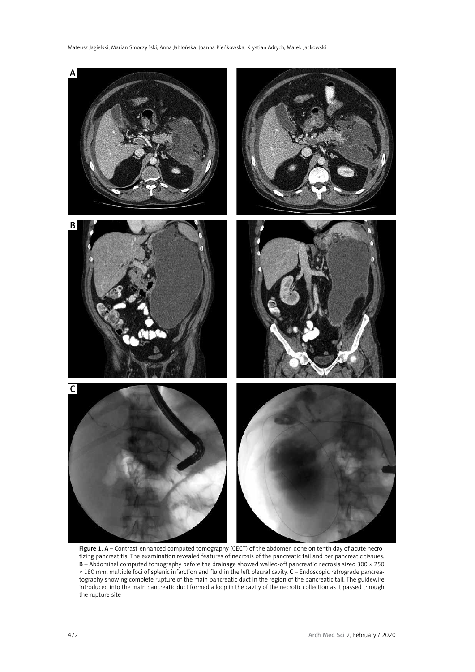

Figure 1. A – Contrast-enhanced computed tomography (CECT) of the abdomen done on tenth day of acute necrotizing pancreatitis. The examination revealed features of necrosis of the pancreatic tail and peripancreatic tissues. B – Abdominal computed tomography before the drainage showed walled-off pancreatic necrosis sized 300 × 250 × 180 mm, multiple foci of splenic infarction and fluid in the left pleural cavity. C – Endoscopic retrograde pancreatography showing complete rupture of the main pancreatic duct in the region of the pancreatic tail. The guidewire introduced into the main pancreatic duct formed a loop in the cavity of the necrotic collection as it passed through the rupture site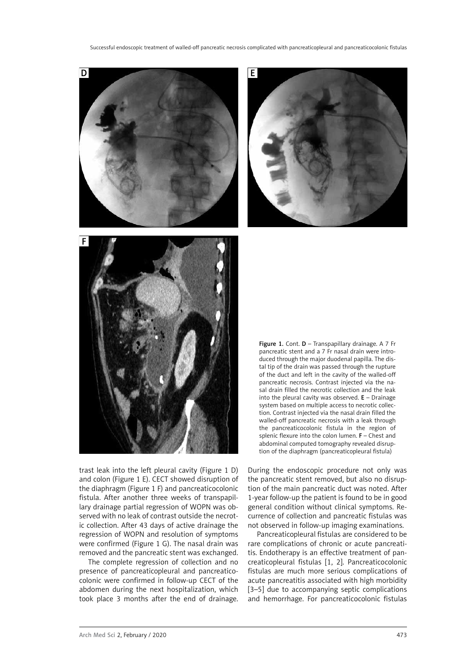

trast leak into the left pleural cavity (Figure 1 D) and colon (Figure 1 E). CECT showed disruption of the diaphragm (Figure 1 F) and pancreaticocolonic fistula. After another three weeks of transpapillary drainage partial regression of WOPN was observed with no leak of contrast outside the necrotic collection. After 43 days of active drainage the regression of WOPN and resolution of symptoms were confirmed (Figure 1 G). The nasal drain was removed and the pancreatic stent was exchanged.

The complete regression of collection and no presence of pancreaticopleural and pancreaticocolonic were confirmed in follow-up CECT of the abdomen during the next hospitalization, which took place 3 months after the end of drainage.

During the endoscopic procedure not only was the pancreatic stent removed, but also no disruption of the main pancreatic duct was noted. After 1-year follow-up the patient is found to be in good general condition without clinical symptoms. Recurrence of collection and pancreatic fistulas was not observed in follow-up imaging examinations.

Pancreaticopleural fistulas are considered to be rare complications of chronic or acute pancreatitis. Endotherapy is an effective treatment of pancreaticopleural fistulas [1, 2]. Pancreaticocolonic fistulas are much more serious complications of acute pancreatitis associated with high morbidity [3–5] due to accompanying septic complications and hemorrhage. For pancreaticocolonic fistulas